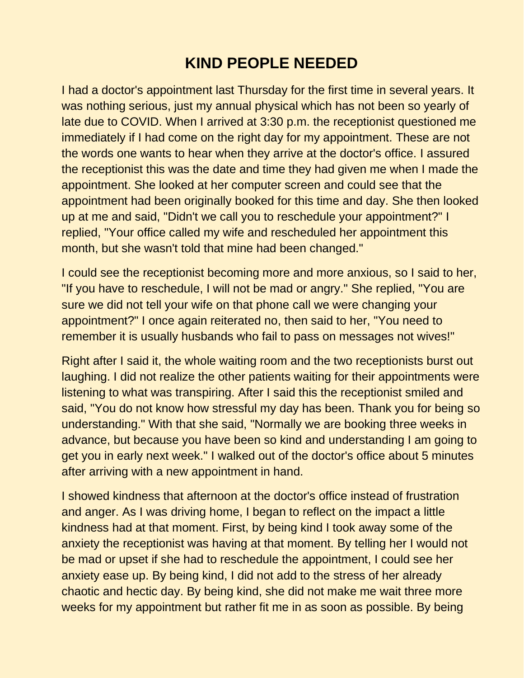## **KIND PEOPLE NEEDED**

I had a doctor's appointment last Thursday for the first time in several years. It was nothing serious, just my annual physical which has not been so yearly of late due to COVID. When I arrived at 3:30 p.m. the receptionist questioned me immediately if I had come on the right day for my appointment. These are not the words one wants to hear when they arrive at the doctor's office. I assured the receptionist this was the date and time they had given me when I made the appointment. She looked at her computer screen and could see that the appointment had been originally booked for this time and day. She then looked up at me and said, "Didn't we call you to reschedule your appointment?" I replied, "Your office called my wife and rescheduled her appointment this month, but she wasn't told that mine had been changed."

I could see the receptionist becoming more and more anxious, so I said to her, "If you have to reschedule, I will not be mad or angry." She replied, "You are sure we did not tell your wife on that phone call we were changing your appointment?" I once again reiterated no, then said to her, "You need to remember it is usually husbands who fail to pass on messages not wives!"

Right after I said it, the whole waiting room and the two receptionists burst out laughing. I did not realize the other patients waiting for their appointments were listening to what was transpiring. After I said this the receptionist smiled and said, "You do not know how stressful my day has been. Thank you for being so understanding." With that she said, "Normally we are booking three weeks in advance, but because you have been so kind and understanding I am going to get you in early next week." I walked out of the doctor's office about 5 minutes after arriving with a new appointment in hand.

I showed kindness that afternoon at the doctor's office instead of frustration and anger. As I was driving home, I began to reflect on the impact a little kindness had at that moment. First, by being kind I took away some of the anxiety the receptionist was having at that moment. By telling her I would not be mad or upset if she had to reschedule the appointment, I could see her anxiety ease up. By being kind, I did not add to the stress of her already chaotic and hectic day. By being kind, she did not make me wait three more weeks for my appointment but rather fit me in as soon as possible. By being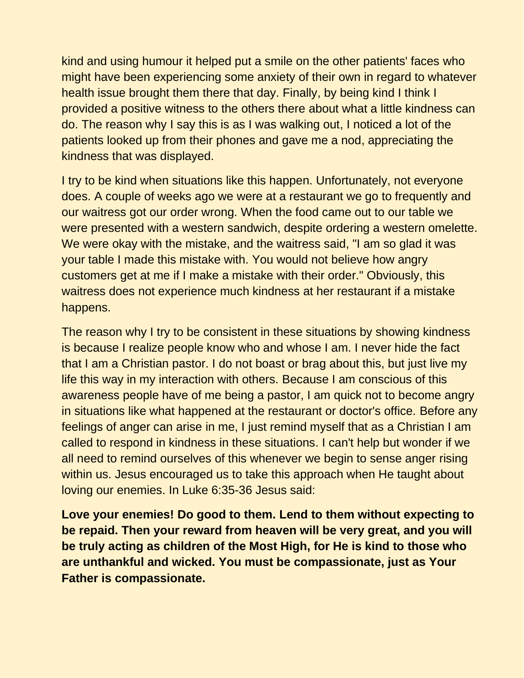kind and using humour it helped put a smile on the other patients' faces who might have been experiencing some anxiety of their own in regard to whatever health issue brought them there that day. Finally, by being kind I think I provided a positive witness to the others there about what a little kindness can do. The reason why I say this is as I was walking out, I noticed a lot of the patients looked up from their phones and gave me a nod, appreciating the kindness that was displayed.

I try to be kind when situations like this happen. Unfortunately, not everyone does. A couple of weeks ago we were at a restaurant we go to frequently and our waitress got our order wrong. When the food came out to our table we were presented with a western sandwich, despite ordering a western omelette. We were okay with the mistake, and the waitress said, "I am so glad it was your table I made this mistake with. You would not believe how angry customers get at me if I make a mistake with their order." Obviously, this waitress does not experience much kindness at her restaurant if a mistake happens.

The reason why I try to be consistent in these situations by showing kindness is because I realize people know who and whose I am. I never hide the fact that I am a Christian pastor. I do not boast or brag about this, but just live my life this way in my interaction with others. Because I am conscious of this awareness people have of me being a pastor, I am quick not to become angry in situations like what happened at the restaurant or doctor's office. Before any feelings of anger can arise in me, I just remind myself that as a Christian I am called to respond in kindness in these situations. I can't help but wonder if we all need to remind ourselves of this whenever we begin to sense anger rising within us. Jesus encouraged us to take this approach when He taught about loving our enemies. In Luke 6:35-36 Jesus said:

**Love your enemies! Do good to them. Lend to them without expecting to be repaid. Then your reward from heaven will be very great, and you will be truly acting as children of the Most High, for He is kind to those who are unthankful and wicked. You must be compassionate, just as Your Father is compassionate.**